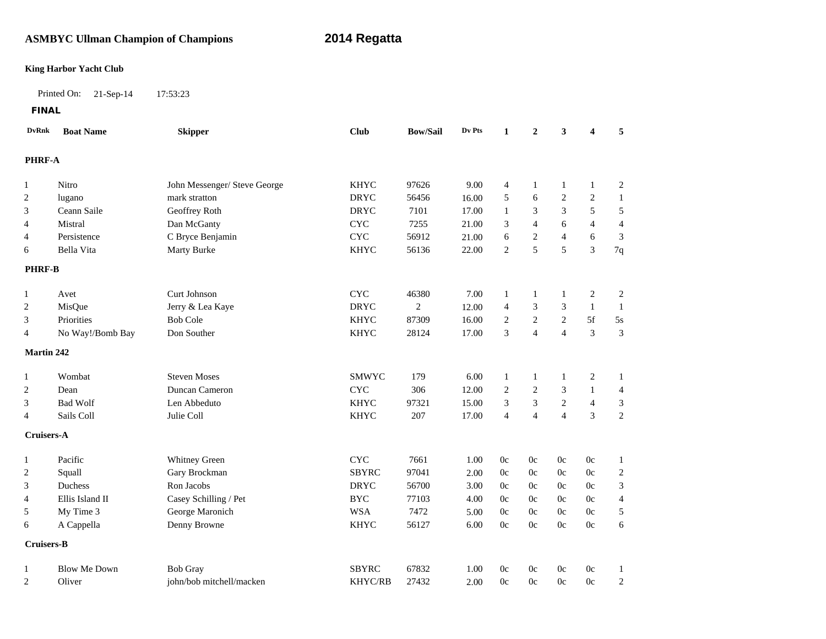# **ASMBYC Ullman Champion of Champions 2014 Regatta**

### **King Harbor Yacht Club**

Printed On: 21-Sep-14 17:53:23

**FINAL**

| <b>DvRnk</b>      | <b>Boat Name</b>    | <b>Skipper</b>               | <b>Club</b>    | <b>Bow/Sail</b> | Dv Pts | 1                        | $\overline{2}$ | 3                | 4              | 5                |  |  |
|-------------------|---------------------|------------------------------|----------------|-----------------|--------|--------------------------|----------------|------------------|----------------|------------------|--|--|
|                   | PHRF-A              |                              |                |                 |        |                          |                |                  |                |                  |  |  |
| $\mathbf{1}$      | Nitro               | John Messenger/ Steve George | <b>KHYC</b>    | 97626           | 9.00   | $\overline{4}$           | -1             | $\mathbf{1}$     | 1              | $\mathbf{2}$     |  |  |
| $\overline{2}$    | lugano              | mark stratton                | <b>DRYC</b>    | 56456           | 16.00  | 5                        | 6              | $\sqrt{2}$       | $\mathbf{2}$   | $\mathbf{1}$     |  |  |
| 3                 | Ceann Saile         | Geoffrey Roth                | <b>DRYC</b>    | 7101            | 17.00  | $\mathbf{1}$             | $\sqrt{3}$     | 3                | $\sqrt{5}$     | $\sqrt{5}$       |  |  |
| 4                 | Mistral             | Dan McGanty                  | <b>CYC</b>     | 7255            | 21.00  | 3                        | $\overline{4}$ | 6                | $\overline{4}$ | $\overline{4}$   |  |  |
| 4                 | Persistence         | C Bryce Benjamin             | <b>CYC</b>     | 56912           | 21.00  | 6                        | $\overline{c}$ | $\overline{4}$   | 6              | 3                |  |  |
| 6                 | Bella Vita          | Marty Burke                  | <b>KHYC</b>    | 56136           | 22.00  | 2                        | 5              | 5                | 3              | 7q               |  |  |
| <b>PHRF-B</b>     |                     |                              |                |                 |        |                          |                |                  |                |                  |  |  |
| 1                 | Avet                | <b>Curt Johnson</b>          | <b>CYC</b>     | 46380           | 7.00   | 1                        | -1             | 1                | 2              | $\overline{c}$   |  |  |
| $\overline{2}$    | MisQue              | Jerry & Lea Kaye             | <b>DRYC</b>    | $\overline{2}$  | 12.00  | $\overline{\mathcal{L}}$ | $\sqrt{3}$     | 3                | $\mathbf{1}$   | $\mathbf{1}$     |  |  |
| 3                 | Priorities          | <b>Bob Cole</b>              | <b>KHYC</b>    | 87309           | 16.00  | 2                        | $\sqrt{2}$     | 2                | 5f             | 5s               |  |  |
| 4                 | No Way!/Bomb Bay    | Don Souther                  | <b>KHYC</b>    | 28124           | 17.00  | 3                        | $\overline{4}$ | $\overline{4}$   | 3              | 3                |  |  |
| <b>Martin 242</b> |                     |                              |                |                 |        |                          |                |                  |                |                  |  |  |
| 1                 | Wombat              | <b>Steven Moses</b>          | SMWYC          | 179             | 6.00   | $\mathbf{1}$             | $\mathbf{1}$   | $\mathbf{1}$     | $\overline{c}$ | $\mathbf{1}$     |  |  |
| $\overline{c}$    | Dean                | Duncan Cameron               | CYC            | 306             | 12.00  | 2                        | $\sqrt{2}$     | 3                | 1              | $\overline{4}$   |  |  |
| 3                 | <b>Bad Wolf</b>     | Len Abbeduto                 | <b>KHYC</b>    | 97321           | 15.00  | 3                        | $\sqrt{3}$     | $\boldsymbol{2}$ | $\overline{4}$ | 3                |  |  |
| 4                 | Sails Coll          | Julie Coll                   | <b>KHYC</b>    | 207             | 17.00  | $\overline{4}$           | $\overline{4}$ | $\overline{4}$   | 3              | $\overline{2}$   |  |  |
| Cruisers-A        |                     |                              |                |                 |        |                          |                |                  |                |                  |  |  |
| $\mathbf{1}$      | Pacific             | Whitney Green                | <b>CYC</b>     | 7661            | 1.00   | $0\mathrm{c}$            | 0c             | 0c               | 0c             | $\mathbf{1}$     |  |  |
| 2                 | Squall              | Gary Brockman                | <b>SBYRC</b>   | 97041           | 2.00   | 0c                       | 0c             | 0c               | 0c             | $\boldsymbol{2}$ |  |  |
| 3                 | <b>Duchess</b>      | Ron Jacobs                   | <b>DRYC</b>    | 56700           | 3.00   | 0c                       | 0c             | 0c               | 0c             | 3                |  |  |
| 4                 | Ellis Island II     | Casey Schilling / Pet        | <b>BYC</b>     | 77103           | 4.00   | 0c                       | 0c             | 0c               | 0c             | $\overline{4}$   |  |  |
| 5                 | My Time 3           | George Maronich              | <b>WSA</b>     | 7472            | 5.00   | 0c                       | 0c             | 0c               | 0c             | 5                |  |  |
| 6                 | A Cappella          | Denny Browne                 | <b>KHYC</b>    | 56127           | 6.00   | 0c                       | 0c             | 0c               | 0c             | 6                |  |  |
| Cruisers-B        |                     |                              |                |                 |        |                          |                |                  |                |                  |  |  |
| 1                 | <b>Blow Me Down</b> | <b>Bob Gray</b>              | <b>SBYRC</b>   | 67832           | 1.00   | 0c                       | 0c             | 0c               | 0c             | 1                |  |  |
| 2                 | Oliver              | john/bob mitchell/macken     | <b>KHYC/RB</b> | 27432           | 2.00   | 0c                       | $0\mathrm{c}$  | 0c               | 0c             | $\boldsymbol{2}$ |  |  |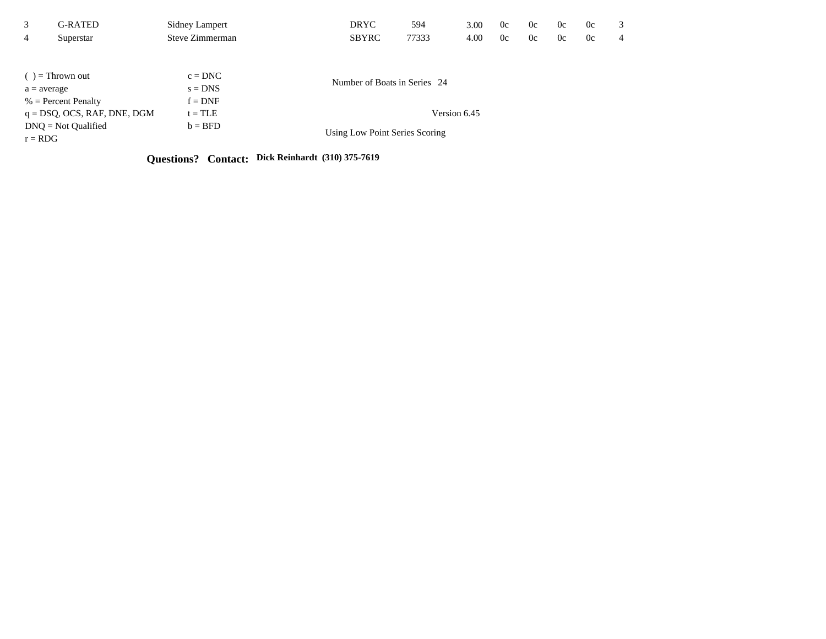| 3<br>$\overline{4}$ | G-RATED<br>Superstar           | <b>Sidney Lampert</b><br>Steve Zimmerman | <b>DRYC</b><br><b>SBYRC</b>    | 594<br>77333 | 3.00<br>4.00 | 0c<br>0c | 0c<br>0c | 0c<br>0c | 0c<br>0c | 3<br>4 |  |  |  |
|---------------------|--------------------------------|------------------------------------------|--------------------------------|--------------|--------------|----------|----------|----------|----------|--------|--|--|--|
|                     |                                |                                          |                                |              |              |          |          |          |          |        |  |  |  |
|                     | $( )$ = Thrown out             | $c = DNC$                                |                                |              |              |          |          |          |          |        |  |  |  |
| $a = average$       |                                | $s = DNS$                                | Number of Boats in Series 24   |              |              |          |          |          |          |        |  |  |  |
|                     | $%$ = Percent Penalty          | $f = DNF$                                |                                |              |              |          |          |          |          |        |  |  |  |
|                     | $q = DSQ$ , OCS, RAF, DNE, DGM | $t = TLE$                                | Version 6.45                   |              |              |          |          |          |          |        |  |  |  |
| $r = RDG$           | $DNO = Not$ Qualified          | $b = BFD$                                | Using Low Point Series Scoring |              |              |          |          |          |          |        |  |  |  |

**Questions? Contact: Dick Reinhardt (310) 375-7619**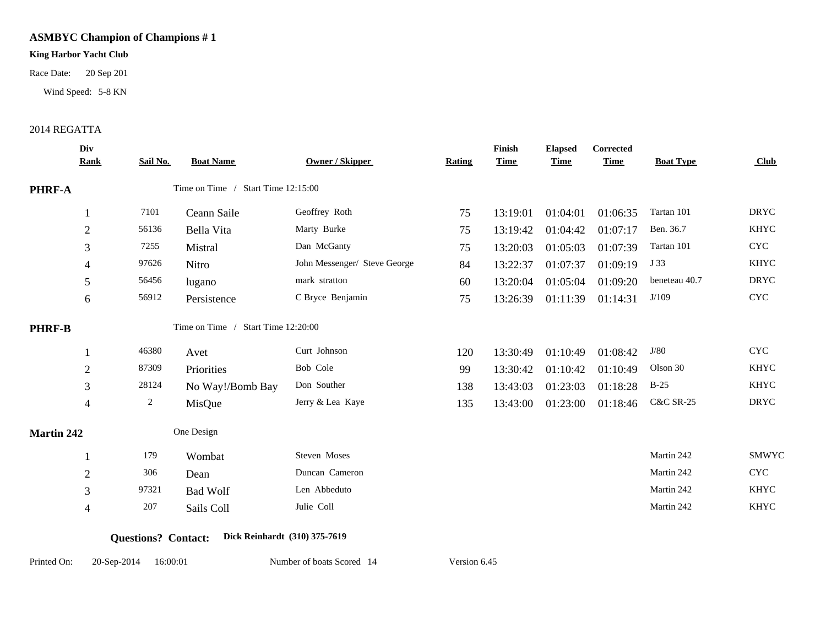### **King Harbor Yacht Club**

Race Date: 20 Sep 201<br>Wind Speed: 5-8 KN<br>2014 REGATTA

Wind Speed: 5-8 KN

|                   | Div<br><b>Rank</b> | Sail No.       | <b>Boat Name</b>                   | <b>Owner / Skipper</b>       | <b>Rating</b> | Finish<br><b>Time</b> | <b>Elapsed</b><br><b>Time</b> | Corrected<br><b>Time</b> | <b>Boat Type</b>     | Club        |
|-------------------|--------------------|----------------|------------------------------------|------------------------------|---------------|-----------------------|-------------------------------|--------------------------|----------------------|-------------|
| <b>PHRF-A</b>     |                    |                | Time on Time / Start Time 12:15:00 |                              |               |                       |                               |                          |                      |             |
|                   |                    | 7101           | Ceann Saile                        | Geoffrey Roth                | 75            | 13:19:01              | 01:04:01                      | 01:06:35                 | Tartan 101           | <b>DRYC</b> |
|                   | $\overline{2}$     | 56136          | Bella Vita                         | Marty Burke                  | 75            | 13:19:42              | 01:04:42                      | 01:07:17                 | Ben. 36.7            | <b>KHYC</b> |
|                   | 3                  | 7255           | Mistral                            | Dan McGanty                  | 75            | 13:20:03              | 01:05:03                      | 01:07:39                 | Tartan 101           | <b>CYC</b>  |
|                   | 4                  | 97626          | Nitro                              | John Messenger/ Steve George | 84            | 13:22:37              | 01:07:37                      | 01:09:19                 | J 33                 | <b>KHYC</b> |
|                   | 5                  | 56456          | lugano                             | mark stratton                | 60            | 13:20:04              | 01:05:04                      | 01:09:20                 | beneteau 40.7        | <b>DRYC</b> |
|                   | 6                  | 56912          | Persistence                        | C Bryce Benjamin             | 75            | 13:26:39              | 01:11:39                      | 01:14:31                 | J/109                | <b>CYC</b>  |
| <b>PHRF-B</b>     |                    |                | Time on Time / Start Time 12:20:00 |                              |               |                       |                               |                          |                      |             |
|                   |                    | 46380          | Avet                               | Curt Johnson                 | 120           | 13:30:49              | 01:10:49                      | 01:08:42                 | J/80                 | <b>CYC</b>  |
|                   | $\overline{2}$     | 87309          | Priorities                         | Bob Cole                     | 99            | 13:30:42              | 01:10:42                      | 01:10:49                 | Olson 30             | <b>KHYC</b> |
|                   | 3                  | 28124          | No Way!/Bomb Bay                   | Don Souther                  | 138           | 13:43:03              | 01:23:03                      | 01:18:28                 | $B-25$               | KHYC        |
|                   | $\overline{4}$     | $\overline{c}$ | MisQue                             | Jerry & Lea Kaye             | 135           | 13:43:00              | 01:23:00                      | 01:18:46                 | <b>C&amp;C SR-25</b> | <b>DRYC</b> |
| <b>Martin 242</b> |                    |                | One Design                         |                              |               |                       |                               |                          |                      |             |
|                   |                    | 179            | Wombat                             | Steven Moses                 |               |                       |                               |                          | Martin 242           | SMWYC       |
|                   | $\overline{2}$     | 306            | Dean                               | Duncan Cameron               |               |                       |                               |                          | Martin 242           | <b>CYC</b>  |
|                   | 3                  | 97321          | <b>Bad Wolf</b>                    | Len Abbeduto                 |               |                       |                               |                          | Martin 242           | <b>KHYC</b> |
|                   | 4                  | 207            | Sails Coll                         | Julie Coll                   |               |                       |                               |                          | Martin 242           | KHYC        |
|                   |                    |                |                                    |                              |               |                       |                               |                          |                      |             |

**Questions? Contact: Dick Reinhardt (310) 375-7619**

Printed On: 20-Sep-2014 16:00:01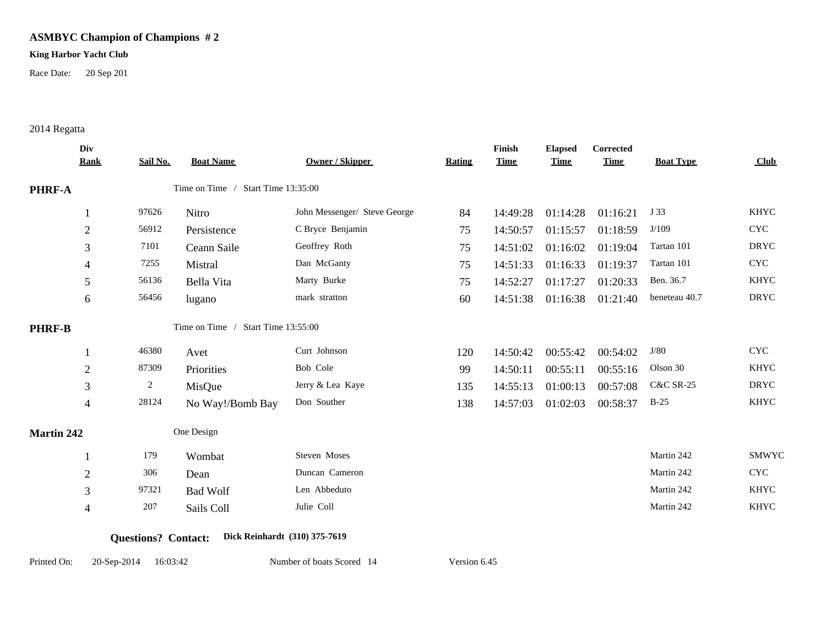### **King Harbor Yacht Club**

Race Date: 20 Sep 201

## 2014 Regatta

|                   | Div<br><b>Rank</b> | Sail No.       | <b>Boat Name</b>                   | Owner / Skipper              | <b>Rating</b> | Finish<br><b>Time</b> | <b>Elapsed</b><br><b>Time</b> | Corrected<br><b>Time</b> | <b>Boat Type</b>     | Club        |
|-------------------|--------------------|----------------|------------------------------------|------------------------------|---------------|-----------------------|-------------------------------|--------------------------|----------------------|-------------|
| <b>PHRF-A</b>     |                    |                | Time on Time / Start Time 13:35:00 |                              |               |                       |                               |                          |                      |             |
|                   |                    | 97626          | Nitro                              | John Messenger/ Steve George | 84            | 14:49:28              | 01:14:28                      | 01:16:21                 | J 33                 | <b>KHYC</b> |
|                   | $\mathfrak{2}$     | 56912          | Persistence                        | C Bryce Benjamin             | 75            | 14:50:57              | 01:15:57                      | 01:18:59                 | J/109                | <b>CYC</b>  |
|                   | 3                  | 7101           | Ceann Saile                        | Geoffrey Roth                | 75            | 14:51:02              | 01:16:02                      | 01:19:04                 | Tartan 101           | <b>DRYC</b> |
|                   | 4                  | 7255           | Mistral                            | Dan McGanty                  | 75            | 14:51:33              | 01:16:33                      | 01:19:37                 | Tartan 101           | <b>CYC</b>  |
|                   | 5                  | 56136          | Bella Vita                         | Marty Burke                  | 75            | 14:52:27              | 01:17:27                      | 01:20:33                 | Ben. 36.7            | <b>KHYC</b> |
|                   | 6                  | 56456          | lugano                             | mark stratton                | 60            | 14:51:38              | 01:16:38                      | 01:21:40                 | beneteau 40.7        | <b>DRYC</b> |
| <b>PHRF-B</b>     |                    |                | Time on Time / Start Time 13:55:00 |                              |               |                       |                               |                          |                      |             |
|                   |                    | 46380          | Avet                               | Curt Johnson                 | 120           | 14:50:42              | 00:55:42                      | 00:54:02                 | J/80                 | <b>CYC</b>  |
|                   | $\overline{2}$     | 87309          | Priorities                         | Bob Cole                     | 99            | 14:50:11              | 00:55:11                      | 00:55:16                 | Olson 30             | <b>KHYC</b> |
|                   | 3                  | $\overline{c}$ | MisQue                             | Jerry & Lea Kaye             | 135           | 14:55:13              | 01:00:13                      | 00:57:08                 | <b>C&amp;C SR-25</b> | <b>DRYC</b> |
|                   | 4                  | 28124          | No Way!/Bomb Bay                   | Don Souther                  | 138           | 14:57:03              | 01:02:03                      | 00:58:37                 | $B-25$               | <b>KHYC</b> |
| <b>Martin 242</b> |                    |                | One Design                         |                              |               |                       |                               |                          |                      |             |
|                   |                    | 179            | Wombat                             | Steven Moses                 |               |                       |                               |                          | Martin 242           | SMWYC       |
|                   | $\mathfrak{2}$     | 306            | Dean                               | Duncan Cameron               |               |                       |                               |                          | Martin 242           | <b>CYC</b>  |
|                   | 3                  | 97321          | <b>Bad Wolf</b>                    | Len Abbeduto                 |               |                       |                               |                          | Martin 242           | <b>KHYC</b> |
|                   | 4                  | 207            | Sails Coll                         | Julie Coll                   |               |                       |                               |                          | Martin 242           | <b>KHYC</b> |
|                   |                    |                |                                    |                              |               |                       |                               |                          |                      |             |

### **Questions? Contact: Dick Reinhardt (310) 375-7619**

Printed On: 20-Sep-2014 16:03:42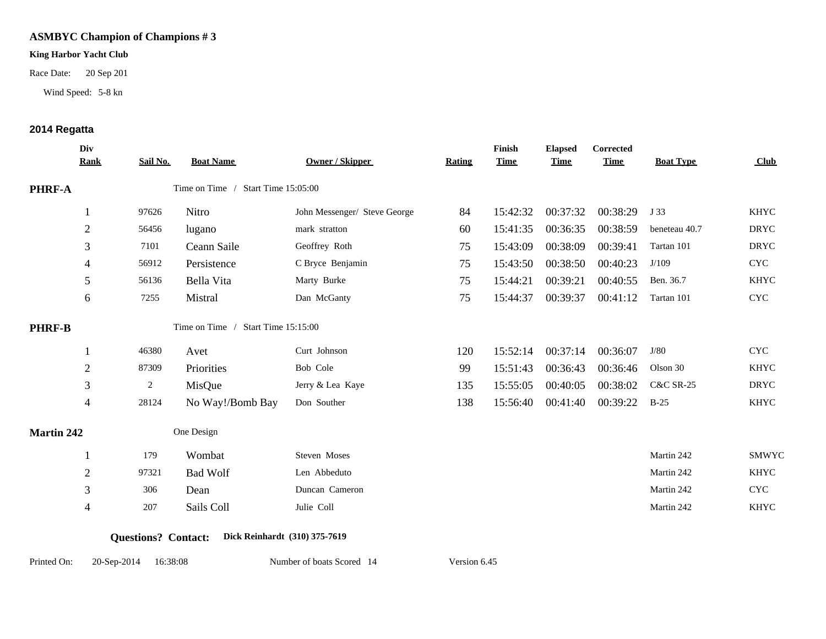### **King Harbor Yacht Club**

Race Date: 20 Sep 201<br>Wind Speed: 5-8 kn<br>**2014 Regatta** 

Wind Speed: 5-8 kn

|                   | Div<br><b>Rank</b> | Sail No.       | <b>Boat Name</b>                   | Owner / Skipper              | Rating | Finish<br><b>Time</b> | <b>Elapsed</b><br><b>Time</b> | <b>Corrected</b><br><b>Time</b> | <b>Boat Type</b>     | Club        |
|-------------------|--------------------|----------------|------------------------------------|------------------------------|--------|-----------------------|-------------------------------|---------------------------------|----------------------|-------------|
| <b>PHRF-A</b>     |                    |                | Time on Time / Start Time 15:05:00 |                              |        |                       |                               |                                 |                      |             |
|                   |                    | 97626          | Nitro                              | John Messenger/ Steve George | 84     | 15:42:32              | 00:37:32                      | 00:38:29                        | J 33                 | <b>KHYC</b> |
|                   | $\sqrt{2}$         | 56456          | lugano                             | mark stratton                | 60     | 15:41:35              | 00:36:35                      | 00:38:59                        | beneteau 40.7        | <b>DRYC</b> |
|                   | 3                  | 7101           | Ceann Saile                        | Geoffrey Roth                | 75     | 15:43:09              | 00:38:09                      | 00:39:41                        | Tartan 101           | <b>DRYC</b> |
|                   | 4                  | 56912          | Persistence                        | C Bryce Benjamin             | 75     | 15:43:50              | 00:38:50                      | 00:40:23                        | J/109                | <b>CYC</b>  |
|                   | 5                  | 56136          | Bella Vita                         | Marty Burke                  | 75     | 15:44:21              | 00:39:21                      | 00:40:55                        | Ben. 36.7            | <b>KHYC</b> |
|                   | 6                  | 7255           | Mistral                            | Dan McGanty                  | 75     | 15:44:37              | 00:39:37                      | 00:41:12                        | Tartan 101           | <b>CYC</b>  |
| <b>PHRF-B</b>     |                    |                | Time on Time / Start Time 15:15:00 |                              |        |                       |                               |                                 |                      |             |
|                   |                    | 46380          | Avet                               | Curt Johnson                 | 120    | 15:52:14              | 00:37:14                      | 00:36:07                        | J/80                 | <b>CYC</b>  |
|                   | $\overline{2}$     | 87309          | Priorities                         | Bob Cole                     | 99     | 15:51:43              | 00:36:43                      | 00:36:46                        | Olson 30             | <b>KHYC</b> |
|                   | 3                  | $\overline{2}$ | MisQue                             | Jerry & Lea Kaye             | 135    | 15:55:05              | 00:40:05                      | 00:38:02                        | <b>C&amp;C SR-25</b> | <b>DRYC</b> |
|                   | 4                  | 28124          | No Way!/Bomb Bay                   | Don Souther                  | 138    | 15:56:40              | 00:41:40                      | 00:39:22                        | $B-25$               | <b>KHYC</b> |
| <b>Martin 242</b> |                    |                | One Design                         |                              |        |                       |                               |                                 |                      |             |
|                   |                    | 179            | Wombat                             | Steven Moses                 |        |                       |                               |                                 | Martin 242           | SMWYC       |
|                   | $\overline{2}$     | 97321          | <b>Bad Wolf</b>                    | Len Abbeduto                 |        |                       |                               |                                 | Martin 242           | <b>KHYC</b> |
|                   | 3                  | 306            | Dean                               | Duncan Cameron               |        |                       |                               |                                 | Martin 242           | <b>CYC</b>  |
|                   | 4                  | 207            | Sails Coll                         | Julie Coll                   |        |                       |                               |                                 | Martin 242           | <b>KHYC</b> |
|                   |                    |                |                                    |                              |        |                       |                               |                                 |                      |             |

### **Questions? Contact: Dick Reinhardt (310) 375-7619**

Printed On: 20-Sep-2014 16:38:08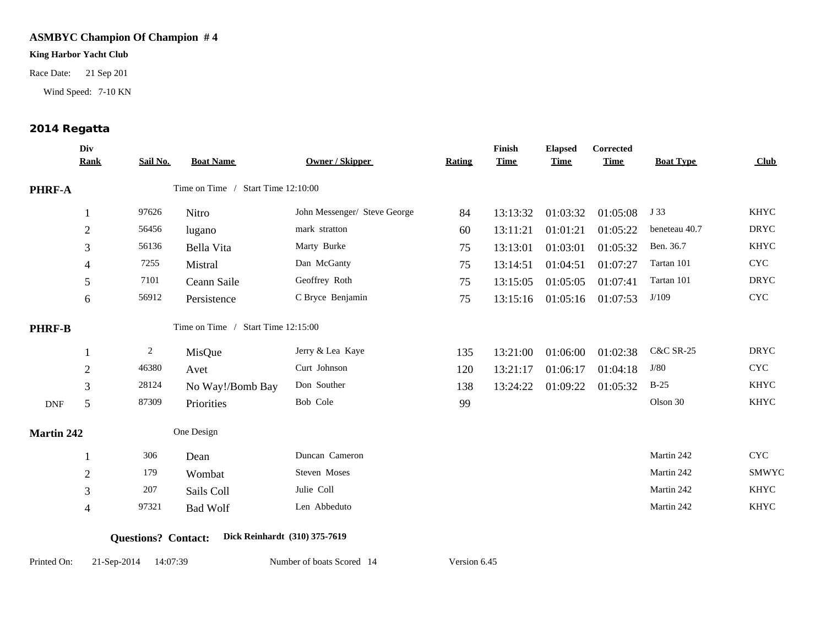### **King Harbor Yacht Club**

Race Date: 21 Sep 201<br>Wind Speed: 7-10 KN<br>**2014 Regatta** 

Wind Speed: 7-10 KN

|                   | Div<br><b>Rank</b> | Sail No.       | <b>Boat Name</b>                   | <b>Owner / Skipper</b>       | Rating | Finish<br><b>Time</b> | <b>Elapsed</b><br><b>Time</b> | Corrected<br><b>Time</b> | <b>Boat Type</b>     | Club        |  |
|-------------------|--------------------|----------------|------------------------------------|------------------------------|--------|-----------------------|-------------------------------|--------------------------|----------------------|-------------|--|
| <b>PHRF-A</b>     |                    |                | Time on Time / Start Time 12:10:00 |                              |        |                       |                               |                          |                      |             |  |
|                   |                    | 97626          | Nitro                              | John Messenger/ Steve George | 84     | 13:13:32              | 01:03:32                      | 01:05:08                 | J 33                 | <b>KHYC</b> |  |
|                   | $\overline{2}$     | 56456          | lugano                             | mark stratton                | 60     | 13:11:21              | 01:01:21                      | 01:05:22                 | beneteau 40.7        | <b>DRYC</b> |  |
|                   | 3                  | 56136          | Bella Vita                         | Marty Burke                  | 75     | 13:13:01              | 01:03:01                      | 01:05:32                 | Ben. 36.7            | <b>KHYC</b> |  |
|                   | 4                  | 7255           | Mistral                            | Dan McGanty                  | 75     | 13:14:51              | 01:04:51                      | 01:07:27                 | Tartan 101           | <b>CYC</b>  |  |
|                   | 5                  | 7101           | Ceann Saile                        | Geoffrey Roth                | 75     | 13:15:05              | 01:05:05                      | 01:07:41                 | Tartan 101           | <b>DRYC</b> |  |
|                   | 6                  | 56912          | Persistence                        | C Bryce Benjamin             | 75     | 13:15:16              | 01:05:16                      | 01:07:53                 | J/109                | <b>CYC</b>  |  |
| <b>PHRF-B</b>     |                    |                | Time on Time / Start Time 12:15:00 |                              |        |                       |                               |                          |                      |             |  |
|                   |                    | $\overline{2}$ | MisQue                             | Jerry & Lea Kaye             | 135    | 13:21:00              | 01:06:00                      | 01:02:38                 | <b>C&amp;C SR-25</b> | <b>DRYC</b> |  |
|                   | $\overline{2}$     | 46380          | Avet                               | Curt Johnson                 | 120    | 13:21:17              | 01:06:17                      | 01:04:18                 | J/80                 | <b>CYC</b>  |  |
|                   | 3                  | 28124          | No Way!/Bomb Bay                   | Don Souther                  | 138    | 13:24:22              | 01:09:22                      | 01:05:32                 | $B-25$               | <b>KHYC</b> |  |
| <b>DNF</b>        | 5                  | 87309          | Priorities                         | Bob Cole                     | 99     |                       |                               |                          | Olson 30             | <b>KHYC</b> |  |
| <b>Martin 242</b> |                    | One Design     |                                    |                              |        |                       |                               |                          |                      |             |  |
|                   |                    | 306            | Dean                               | Duncan Cameron               |        |                       |                               |                          | Martin 242           | <b>CYC</b>  |  |
|                   | $\sqrt{2}$         | 179            | Wombat                             | Steven Moses                 |        |                       |                               |                          | Martin 242           | SMWYC       |  |
|                   | 3                  | 207            | Sails Coll                         | Julie Coll                   |        |                       |                               |                          | Martin 242           | <b>KHYC</b> |  |
|                   | 4                  | 97321          | <b>Bad Wolf</b>                    | Len Abbeduto                 |        |                       |                               |                          | Martin 242           | <b>KHYC</b> |  |
|                   |                    |                |                                    |                              |        |                       |                               |                          |                      |             |  |

### **Questions? Contact: Dick Reinhardt (310) 375-7619**

Printed On: 21-Sep-2014 14:07:39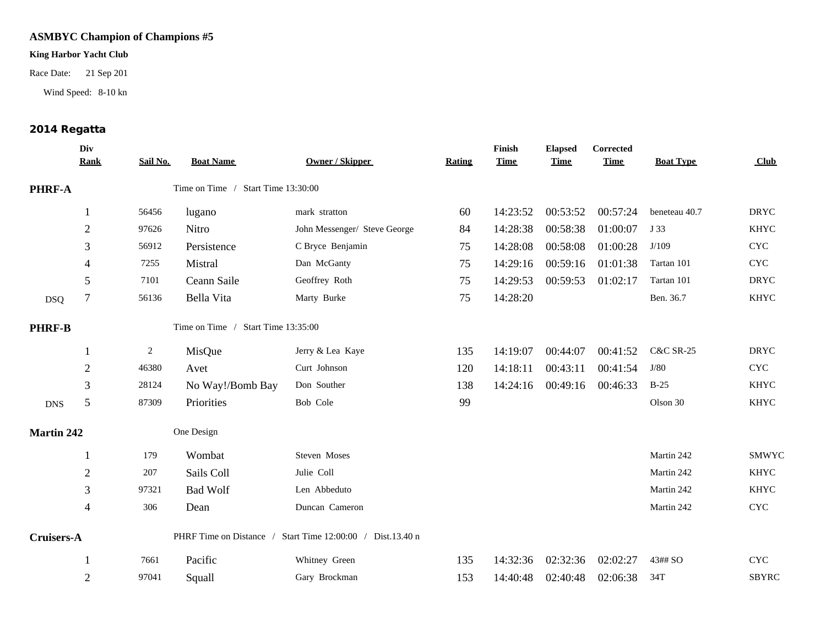### **King Harbor Yacht Club**

Race Date: 21 Sep 201

Wind Speed: 8-10 kn

## 2014 Regatta

| Div<br><b>Rank</b> | Sail No. | <b>Boat Name</b> | <b>Owner / Skipper</b>       | <b>Rating</b>                                                                                                                          | Finish<br><b>Time</b> | <b>Elapsed</b><br><b>Time</b> | Corrected<br><b>Time</b> | <b>Boat Type</b>                 | Club         |
|--------------------|----------|------------------|------------------------------|----------------------------------------------------------------------------------------------------------------------------------------|-----------------------|-------------------------------|--------------------------|----------------------------------|--------------|
| PHRF-A             |          |                  |                              |                                                                                                                                        |                       |                               |                          |                                  |              |
| $\mathbf{1}$       | 56456    | lugano           | mark stratton                | 60                                                                                                                                     | 14:23:52              |                               | 00:57:24                 | beneteau 40.7                    | <b>DRYC</b>  |
| $\boldsymbol{2}$   | 97626    | Nitro            | John Messenger/ Steve George | 84                                                                                                                                     | 14:28:38              | 00:58:38                      | 01:00:07                 | J 33                             | <b>KHYC</b>  |
| 3                  | 56912    | Persistence      | C Bryce Benjamin             | 75                                                                                                                                     | 14:28:08              | 00:58:08                      | 01:00:28                 | J/109                            | <b>CYC</b>   |
| 4                  | 7255     | Mistral          | Dan McGanty                  | 75                                                                                                                                     | 14:29:16              | 00:59:16                      | 01:01:38                 | Tartan 101                       | <b>CYC</b>   |
| 5                  | 7101     | Ceann Saile      | Geoffrey Roth                | 75                                                                                                                                     | 14:29:53              |                               | 01:02:17                 | Tartan 101                       | <b>DRYC</b>  |
| 7                  | 56136    | Bella Vita       | Marty Burke                  | 75                                                                                                                                     | 14:28:20              |                               |                          | Ben. 36.7                        | <b>KHYC</b>  |
| <b>PHRF-B</b>      |          |                  |                              |                                                                                                                                        |                       |                               |                          |                                  |              |
| 1                  | 2        | MisQue           | Jerry & Lea Kaye             | 135                                                                                                                                    | 14:19:07              | 00:44:07                      | 00:41:52                 | <b>C&amp;C SR-25</b>             | <b>DRYC</b>  |
| $\mathbf{2}$       | 46380    | Avet             | Curt Johnson                 | 120                                                                                                                                    | 14:18:11              | 00:43:11                      | 00:41:54                 | J/80                             | <b>CYC</b>   |
| 3                  | 28124    | No Way!/Bomb Bay | Don Souther                  | 138                                                                                                                                    | 14:24:16              |                               | 00:46:33                 | $B-25$                           | <b>KHYC</b>  |
| 5                  | 87309    | Priorities       | Bob Cole                     | 99                                                                                                                                     |                       |                               |                          | Olson 30                         | <b>KHYC</b>  |
| <b>Martin 242</b>  |          |                  |                              |                                                                                                                                        |                       |                               |                          |                                  |              |
|                    | 179      | Wombat           | Steven Moses                 |                                                                                                                                        |                       |                               |                          | Martin 242                       | <b>SMWYC</b> |
| $\sqrt{2}$         | 207      | Sails Coll       | Julie Coll                   |                                                                                                                                        |                       |                               |                          | Martin 242                       | <b>KHYC</b>  |
| 3                  | 97321    | <b>Bad Wolf</b>  | Len Abbeduto                 |                                                                                                                                        |                       |                               |                          | Martin 242                       | <b>KHYC</b>  |
| $\overline{4}$     | 306      | Dean             | Duncan Cameron               |                                                                                                                                        |                       |                               |                          | Martin 242                       | <b>CYC</b>   |
| Cruisers-A         |          |                  |                              |                                                                                                                                        |                       |                               |                          |                                  |              |
|                    | 7661     | Pacific          | Whitney Green                | 135                                                                                                                                    | 14:32:36              | 02:32:36                      | 02:02:27                 | 43## SO                          | <b>CYC</b>   |
| $\overline{2}$     | 97041    | Squall           | Gary Brockman                | 153                                                                                                                                    | 14:40:48              | 02:40:48                      | 02:06:38                 | 34T                              | <b>SBYRC</b> |
|                    |          |                  | One Design                   | Time on Time / Start Time 13:30:00<br>Time on Time / Start Time 13:35:00<br>PHRF Time on Distance / Start Time 12:00:00 / Dist.13.40 n |                       |                               |                          | 00:53:52<br>00:59:53<br>00:49:16 |              |